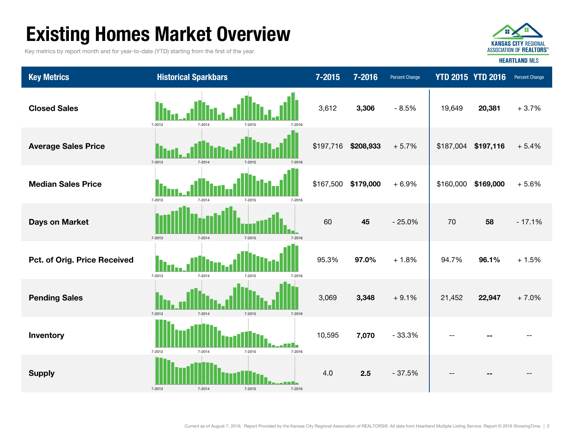# Existing Homes Market Overview

Key metrics by report month and for year-to-date (YTD) starting from the first of the year.



Key Metrics **Examples 2016** Historical Sparkbars 7-2015 7-2015 7-2016 Percent Change YTD 2015 YTD 2016 Percent Change --Supply 4.0 2.5 - 37.5% -- -- -- Inventory 10,595 7,070 - 33.3% -- --  $+1.5%$ **Pending Sales 3,069 3,348** + 9.1% 21,452 **22,947** + 7.0% **Pct. of Orig. Price Received**  $\begin{array}{ccc} \bullet & \bullet & \bullet \\ \bullet & \bullet & \bullet \end{array}$  $\begin{array}{ccc} \bullet & \bullet & \bullet \\ \bullet & \bullet & \bullet \end{array}$  **95.3% 97.0%**  $+1.8\%$  **94.7% 96.1%** + 5.6%Days on Market 60 45 - 25.0% 70 58 - 17.1% Median Sales Price $$167,500$   $$179,000$   $+6.9\%$  \$160,000 \$169,000  $20.381 + 3.7\%$ Average Sales Price **1. The Alberta Control of the State of the State of the State of the State of Temperature A** 19,649 Closed Sales 3,612 3,306 - 8.5% 7-2013 7-2014 7-2015 7-2016 7-2013 7-2014 7-2015 7-2016 7-2013 7-2014 7-2015 7-2016 7-2013 7-2014 7-2015 7-2016 7-2013 7-2014 7-2015 7-2016 7-2013 7-2014 7-2015 7-2016 7-2013 7-2014 7-2015 7-2016 7-20137-2014 7-2015 7-2016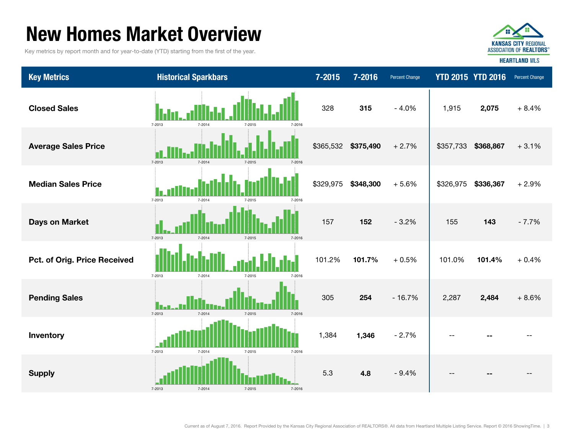### New Homes Market Overview

Key metrics by report month and for year-to-date (YTD) starting from the first of the year.



Key Metrics **Micropher Historical Sparkbars 7-2015 7-2015 7-2016** Percent Change YTD 2015 YTD 2016 Percent Change Closed Sales 328 315 - 4.0% 2,075 + 8.4% Average Sales Price **19.12 of Late of Late 10 and 11 | 1** | **1** | **1** | **1** | **1** | **1** | **1 1 1 1** \$365,532 \$375,490 + 2.7% \$357,733 \$368,867 + 3.1% 1,915 Median Sales Price \$329,975 \$348,300 + 5.6% \$326,975 \$336,367 + 2.9% - 7.7%101.4% $+0.4%$ Days on Market **155** 143 **Pct. of Orig. Price Received 101.0% 101.0 | 101.0 | 101.0 | 101.0 | 101.0 | 101.0 | 101.0 | 101.0 | 101.0 | 101.0 | 101.0 | 101.0 | 101.0 | 101.0 | 101.0 | 101.0 | 101.0 | 101.0 | 101.0 | 101.0 | 101.0 | 101.0 | 101.0 |** + 8.6%Inventory 1,384 1,346 - 2.7% -- --**Pending Sales 305 254 - 16.7% 2.287 2.484** Supply 5.3 4.8 - 9.4% -- -- --7-2013 7-2014 7-2015 7-2016 7-2013 7-2014 7-2015 7-2016 7-2013 7-2014 7-2015 7-2016 7-2013 7-2014 7-2015 7-2016 7-2013 7-2014 7-2015 7-2016 7-2013 7-2014 7-2015 7-2016 7-2013 7-2014 7-2015 7-2016 7-20137-2014 7-2015 7-2016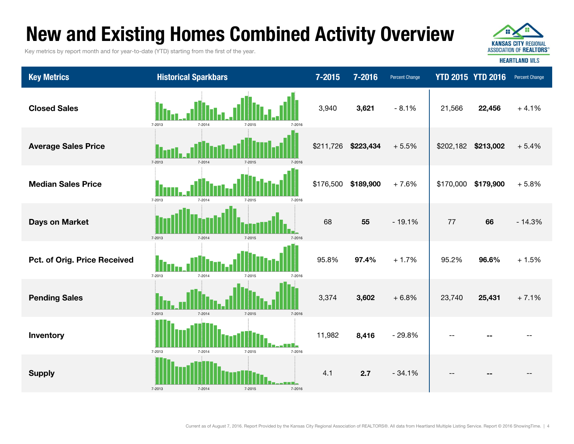### New and Existing Homes Combined Activity Overview

Key metrics by report month and for year-to-date (YTD) starting from the first of the year.



| <b>Key Metrics</b>           | <b>Historical Sparkbars</b>              | 7-2015    | 7-2016    | <b>Percent Change</b> |           | <b>YTD 2015 YTD 2016</b> | <b>Percent Change</b> |
|------------------------------|------------------------------------------|-----------|-----------|-----------------------|-----------|--------------------------|-----------------------|
| <b>Closed Sales</b>          | 7-2013<br>7-2014<br>7-2016<br>7-2015     | 3,940     | 3,621     | $-8.1%$               | 21,566    | 22,456                   | $+4.1%$               |
| <b>Average Sales Price</b>   | 7-2013<br>7-2014                         | \$211,726 | \$223,434 | $+5.5%$               | \$202,182 | \$213,002                | $+5.4%$               |
| <b>Median Sales Price</b>    | 7-2013<br>7-2014<br>7-2015<br>7-2016     | \$176,500 | \$189,900 | $+7.6%$               | \$170,000 | \$179,900                | $+5.8%$               |
| <b>Days on Market</b>        | 7-2013<br>$7 - 2014$<br>7-2015<br>7-2016 | 68        | 55        | $-19.1%$              | 77        | 66                       | $-14.3%$              |
| Pct. of Orig. Price Received | 7-2013<br>7-2014<br>7-2015<br>7-2016     | 95.8%     | 97.4%     | $+1.7%$               | 95.2%     | 96.6%                    | $+1.5%$               |
| <b>Pending Sales</b>         | 7-2013<br>7-2014<br>$7 - 2015$<br>7-2016 | 3,374     | 3,602     | $+6.8%$               | 23,740    | 25,431                   | $+7.1%$               |
| Inventory                    | 7-2013<br>7-2014<br>7-2015<br>7-2016     | 11,982    | 8,416     | $-29.8%$              |           |                          |                       |
| <b>Supply</b>                | 7-2013<br>7-2014<br>7-2015<br>7-2016     | 4.1       | 2.7       | $-34.1%$              |           |                          |                       |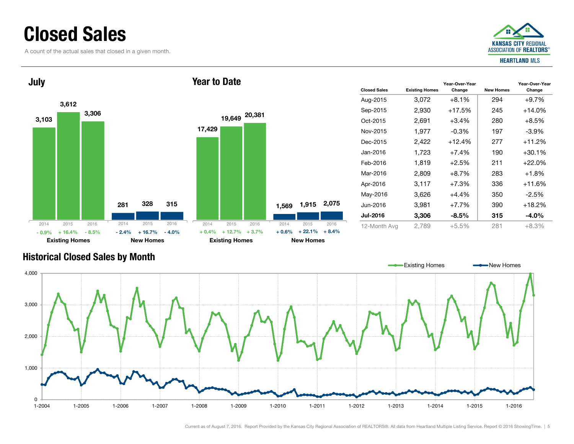### Closed Sales

A count of the actual sales that closed in a given month.



Year-Over-Year Change



#### Historical Closed Sales by Month

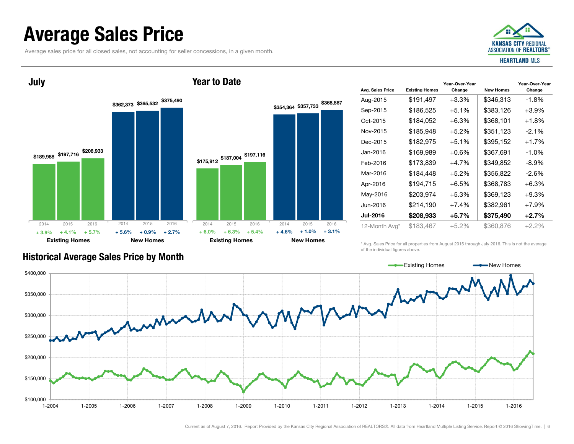### Average Sales Price

July

Average sales price for all closed sales, not accounting for seller concessions, in a given month.



#### \$189,988 \$197,716 \$208,933 \$362,373 \$365,532 \$375,490 Existing Homes New Homes \$175,912 \$187,004 \$197,116 \$354,364 \$357,733 \$368,867 Existing Homes New Homes 2014 2015 2016  $+ 4.1%$  $\%$  + 5.7% + 5.6% + 0.9% + 2.7% + 6.0% + 6.3% + 5.4% + 4.6% + 1.0% + 3.1% 2014 2015 2016 2014 2015 2016 2014 2015 2016 + 3.9% $\%$  + 4.1% + 5.7% + 5.6% + 0.9% + 2.7% + 6.0% + 6.3% + 5.4% + 4.6%

|                  |                       | Year-Over-Year |                  | Year-Over-Year |
|------------------|-----------------------|----------------|------------------|----------------|
| Avg. Sales Price | <b>Existing Homes</b> | Change         | <b>New Homes</b> | Change         |
| Aug-2015         | \$191,497             | $+3.3%$        | \$346,313        | $-1.8%$        |
| Sep-2015         | \$186,525             | $+5.1\%$       | \$383,126        | $+3.9\%$       |
| Oct-2015         | \$184,052             | $+6.3%$        | \$368,101        | $+1.8\%$       |
| Nov-2015         | \$185,948             | $+5.2%$        | \$351,123        | $-2.1\%$       |
| Dec-2015         | \$182,975             | $+5.1%$        | \$395,152        | $+1.7%$        |
| Jan-2016         | \$169,989             | $+0.6%$        | \$367,691        | -1.0%          |
| Feb-2016         | \$173,839             | $+4.7%$        | \$349,852        | $-8.9\%$       |
| Mar-2016         | \$184,448             | $+5.2%$        | \$356,822        | $-2.6\%$       |
| Apr-2016         | \$194,715             | $+6.5\%$       | \$368,783        | $+6.3%$        |
| May-2016         | \$203,974             | $+5.3%$        | \$369,123        | $+9.3%$        |
| Jun-2016         | \$214,190             | $+7.4%$        | \$382,961        | $+7.9%$        |
| <b>Jul-2016</b>  | \$208,933             | $+5.7%$        | \$375,490        | $+2.7%$        |
| 12-Month Avg*    | \$183,467             | +5.2%          | \$360,876        | $+2.2%$        |

Historical Average Sales Price by Month

\* Avg. Sales Price for all properties from August 2015 through July 2016. This is not the average of the individual figures above.



Year to Date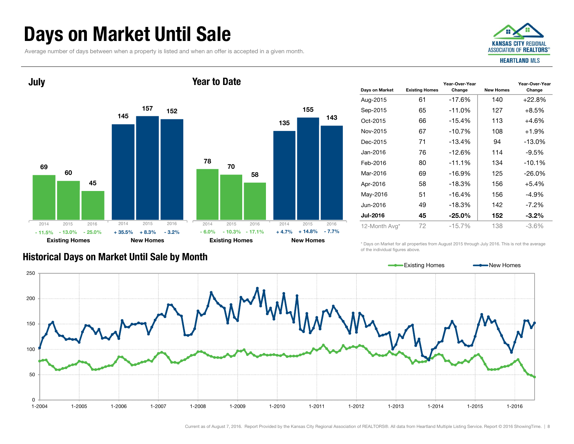### Days on Market Until Sale

Average number of days between when a property is listed and when an offer is accepted in a given month.



#### 6914560157 45152Existing Homes New Homes July 781357015558 143Existing Homes New Homes Year to Date2014 2015 2016 - 13.0%- 11.5% $\%$  - 13.0% - 25.0% + 35.5% + 8.3% - 3.2% - 6.0% - 10.3% - 17.1% + 4.7% + 14.8% - 7.7% 2014 2015 2016 20142015 2016 2014 2015 2016

|                 |                       | Year-Over-Year |                  | Year-Over-Year |
|-----------------|-----------------------|----------------|------------------|----------------|
| Days on Market  | <b>Existing Homes</b> | Change         | <b>New Homes</b> | Change         |
| Aug-2015        | 61                    | -17.6%         | 140              | $+22.8%$       |
| Sep-2015        | 65                    | $-11.0%$       | 127              | $+8.5%$        |
| Oct-2015        | 66                    | $-15.4%$       | 113              | $+4.6%$        |
| Nov-2015        | 67                    | $-10.7%$       | 108              | +1.9%          |
| Dec-2015        | 71                    | $-13.4%$       | 94               | $-13.0\%$      |
| Jan-2016        | 76                    | $-12.6%$       | 114              | $-9.5%$        |
| Feb-2016        | 80                    | $-11.1%$       | 134              | $-10.1%$       |
| Mar-2016        | 69                    | $-16.9%$       | 125              | $-26.0\%$      |
| Apr-2016        | 58                    | $-18.3%$       | 156              | $+5.4%$        |
| May-2016        | 51                    | $-16.4%$       | 156              | $-4.9%$        |
| Jun-2016        | 49                    | $-18.3%$       | 142              | $-7.2\%$       |
| <b>Jul-2016</b> | 45                    | $-25.0\%$      | 152              | $-3.2\%$       |
| 12-Month Avg*   | 72                    | $-15.7\%$      | 138              | -3.6%          |

\* Days on Market for all properties from August 2015 through July 2016. This is not the average of the individual figures above.



#### Historical Days on Market Until Sale by Month

Current as of August 7, 2016. Report Provided by the Kansas City Regional Association of REALTORS®. All data from Heartland Multiple Listing Service. Report © 2016 ShowingTime. | 8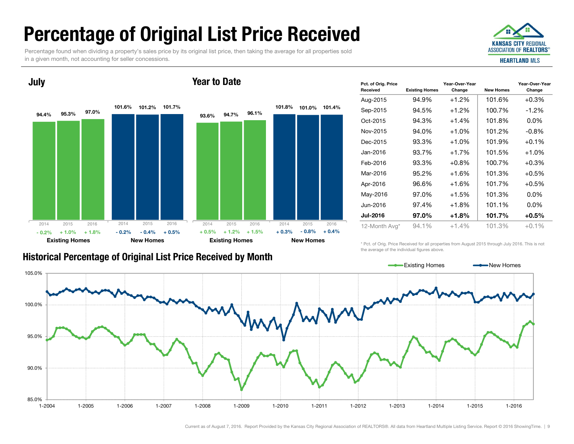# Percentage of Original List Price Received

Percentage found when dividing a property's sales price by its original list price, then taking the average for all properties sold in a given month, not accounting for seller concessions.



#### 94.4%101.6%101.2%101.7%95.3%97.0%Existing Homes New Homes July 93.6%101.8% 101.0%101.4% 94.7%96.1%Existing Homes New Homes Year to Date2014 2015 2016+ 1.0% $\%$  + 1.8% - 0.2% - 0.4% + 0.5% + 0.5% + 1.2% + 1.5% + 0.3% - 0.8% + 0.4% 2014 2015 2016 2014 2015 2016 2014 2015 2016 - 0.2% $\%$  + 1.0% + 1.8% - 0.2% - 0.4% + 0.5% + 0.5% + 1.2% + 1.5% + 0.3%

| Pct. of Orig. Price<br><b>Received</b> | <b>Existing Homes</b> | Year-Over-Year<br>Change | <b>New Homes</b> | Year-Over-Year<br>Change |
|----------------------------------------|-----------------------|--------------------------|------------------|--------------------------|
| Aug-2015                               | 94.9%                 | $+1.2%$                  | 101.6%           | $+0.3%$                  |
| Sep-2015                               | 94.5%                 | $+1.2%$                  | 100.7%           | $-1.2\%$                 |
| Oct-2015                               | 94.3%                 | $+1.4%$                  | 101.8%           | $0.0\%$                  |
| Nov-2015                               | 94.0%                 | $+1.0%$                  | 101.2%           | $-0.8\%$                 |
| Dec-2015                               | 93.3%                 | $+1.0%$                  | 101.9%           | $+0.1%$                  |
| Jan-2016                               | 93.7%                 | $+1.7%$                  | 101.5%           | $+1.0%$                  |
| Feb-2016                               | 93.3%                 | $+0.8%$                  | 100.7%           | $+0.3\%$                 |
| Mar-2016                               | 95.2%                 | $+1.6%$                  | 101.3%           | +0.5%                    |
| Apr-2016                               | 96.6%                 | $+1.6%$                  | 101.7%           | $+0.5%$                  |
| May-2016                               | 97.0%                 | $+1.5%$                  | 101.3%           | $0.0\%$                  |
| Jun-2016                               | 97.4%                 | $+1.8%$                  | 101.1%           | $0.0\%$                  |
| <b>Jul-2016</b>                        | 97.0%                 | $+1.8%$                  | 101.7%           | +0.5%                    |
| 12-Month Avg*                          | 94.1%                 | $+1.4%$                  | 101.3%           | $+0.1%$                  |

#### Historical Percentage of Original List Price Received by Mont h

\* Pct. of Orig. Price Received for all properties from August 2015 through July 2016. This is not the average of the individual figures above.



 $\sim$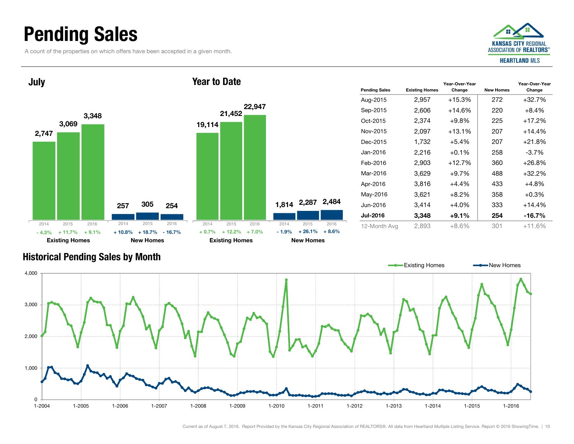### Pending Sales

A count of the properties on which offers have been accepted in a given month.





| <b>Pending Sales</b> | <b>Existing Homes</b> | Year-Over-Year<br>Change | <b>New Homes</b> | Year-Over-Year<br>Change |
|----------------------|-----------------------|--------------------------|------------------|--------------------------|
| Aug-2015             | 2,957                 | $+15.3%$                 | 272              | $+32.7%$                 |
| Sep-2015             | 2,606                 | $+14.6%$                 | 220              | $+8.4\%$                 |
| Oct-2015             | 2,374                 | $+9.8\%$                 | 225              | $+17.2%$                 |
| Nov-2015             | 2,097                 | $+13.1%$                 | 207              | $+14.4%$                 |
| Dec-2015             | 1,732                 | $+5.4%$                  | 207              | $+21.8%$                 |
| Jan-2016             | 2,216                 | $+0.1%$                  | 258              | $-3.7\%$                 |
| Feb-2016             | 2,903                 | $+12.7%$                 | 360              | $+26.8%$                 |
| Mar-2016             | 3,629                 | $+9.7%$                  | 488              | $+32.2%$                 |
| Apr-2016             | 3,816                 | $+4.4%$                  | 433              | $+4.8%$                  |
| May-2016             | 3,621                 | $+8.2\%$                 | 358              | $+0.3%$                  |
| Jun-2016             | 3,414                 | $+4.0%$                  | 333              | $+14.4%$                 |
| <b>Jul-2016</b>      | 3,348                 | $+9.1\%$                 | 254              | $-16.7%$                 |
| 12-Month Avg         | 2,893                 | +8.6%                    | 301              | +11.6%                   |

#### Historical Pending Sales by Month

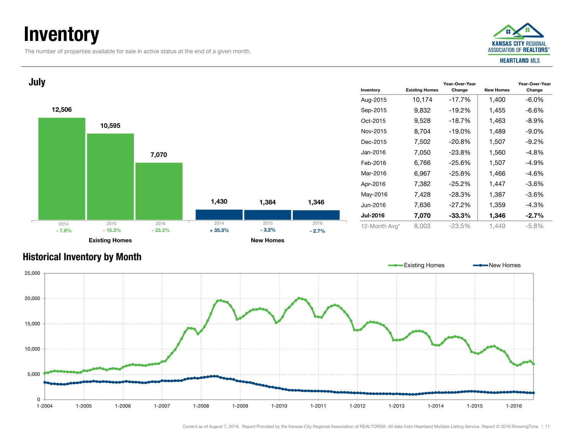### **Inventory**

The number of properties available for sale in active status at the end of a given month.





#### Historical Inventory by Month